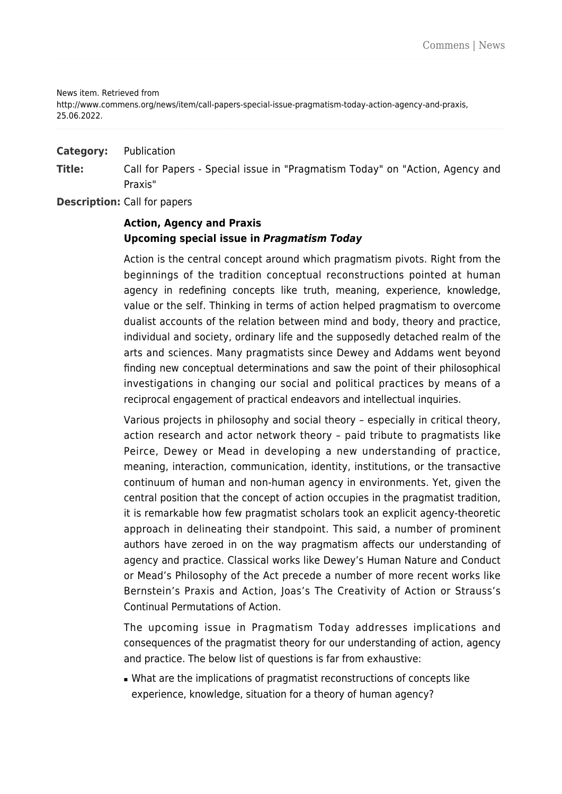News item. Retrieved from

http://www.commens.org/news/item/call-papers-special-issue-pragmatism-today-action-agency-and-praxis, 25.06.2022.

**Category:** Publication

**Title:** Call for Papers - Special issue in "Pragmatism Today" on "Action, Agency and Praxis"

**Description:** Call for papers

## **Action, Agency and Praxis Upcoming special issue in** *Pragmatism Today*

Action is the central concept around which pragmatism pivots. Right from the beginnings of the tradition conceptual reconstructions pointed at human agency in redefining concepts like truth, meaning, experience, knowledge, value or the self. Thinking in terms of action helped pragmatism to overcome dualist accounts of the relation between mind and body, theory and practice, individual and society, ordinary life and the supposedly detached realm of the arts and sciences. Many pragmatists since Dewey and Addams went beyond finding new conceptual determinations and saw the point of their philosophical investigations in changing our social and political practices by means of a reciprocal engagement of practical endeavors and intellectual inquiries.

Various projects in philosophy and social theory – especially in critical theory, action research and actor network theory – paid tribute to pragmatists like Peirce, Dewey or Mead in developing a new understanding of practice, meaning, interaction, communication, identity, institutions, or the transactive continuum of human and non-human agency in environments. Yet, given the central position that the concept of action occupies in the pragmatist tradition, it is remarkable how few pragmatist scholars took an explicit agency-theoretic approach in delineating their standpoint. This said, a number of prominent authors have zeroed in on the way pragmatism affects our understanding of agency and practice. Classical works like Dewey's Human Nature and Conduct or Mead's Philosophy of the Act precede a number of more recent works like Bernstein's Praxis and Action, Joas's The Creativity of Action or Strauss's Continual Permutations of Action.

The upcoming issue in Pragmatism Today addresses implications and consequences of the pragmatist theory for our understanding of action, agency and practice. The below list of questions is far from exhaustive:

■ What are the implications of pragmatist reconstructions of concepts like experience, knowledge, situation for a theory of human agency?